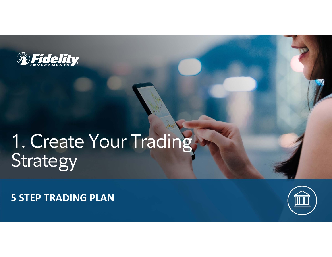

# 1. Create Your Trading Strategy

**5 STEP TRADING PLAN** 

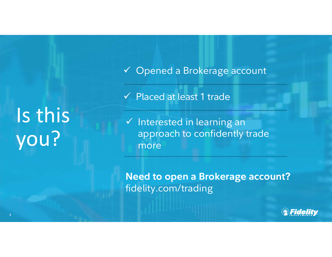Opened a Brokerage account

Placed at least 1 trade

 $\checkmark$  Interested in learning an approach to confidently trade more

**Need to open a Brokerage account?** fidelity.com/trading



Is this you?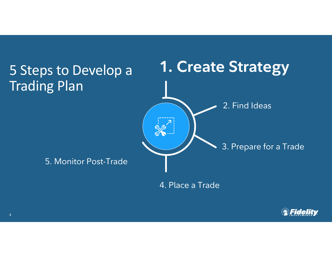

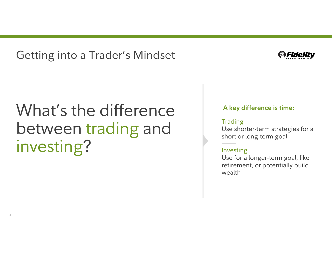Getting into a Trader's Mindset



## What's the difference between trading and investing?

**4**

#### **A key difference is time:**

#### **Trading**

Use shorter-term strategies for a short or long-term goal

### Investing

Use for a longer-term goal, like retirement, or potentially build wealth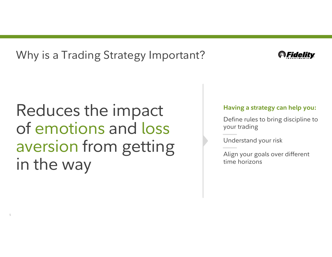Why is a Trading Strategy Important?



## Reduces the impact of emotions and loss aversion from getting in the way

### **Having a strategy can help you:**

Define rules to bring discipline to your trading

Understand your risk

Align your goals over different time horizons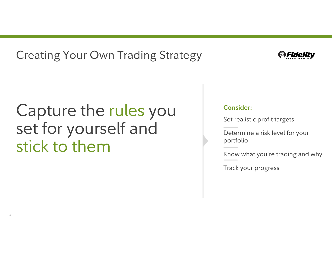### Creating Your Own Trading Strategy

### Capture the rules you set for yourself and stick to them

**6**

### **@Fidelity**

### **Consider:**

Set realistic profit targets

Determine a risk level for your portfolio

Know what you're trading and why

Track your progress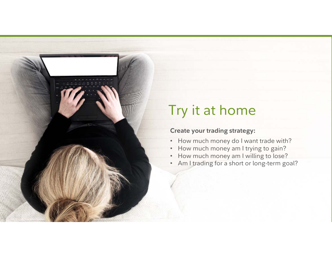

### **Consider:** Try it at home

### Create your trading strategy: **comparently**

- How much money do I want trade with?
- How much money am I trying to gain? •
- •How much money am I willing to lose?
- Am I trading for a short or long-term goal? •